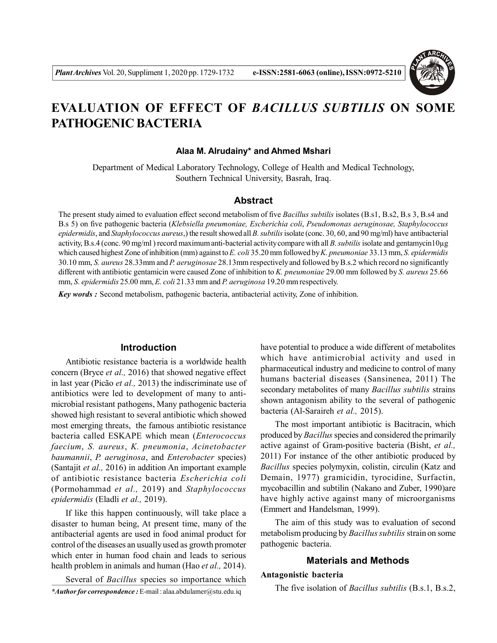

# **EVALUATION OF EFFECT OF** *BACILLUS SUBTILIS* **ON SOME PATHOGENIC BACTERIA**

#### **Alaa M. Alrudainy\* and Ahmed Mshari**

Department of Medical Laboratory Technology, College of Health and Medical Technology, Southern Technical University, Basrah, Iraq.

# **Abstract**

The present study aimed to evaluation effect second metabolism of five *Bacillus subtilis* isolates (B.s1, B.s2, B.s 3, B.s4 and B.s 5) on five pathogenic bacteria (*Klebsiella pneumoniae, Escherichia coli*, *Pseudomonas aeruginosae, Staphylococcus epidermidis*, and *Staphylococcus aureus*,) the result showed all *B. subtilis* isolate (conc. 30, 60, and 90 mg/ml) have antibacterial activity, B.s.4 (conc. 90 mg/ml ) record maximum anti-bacterial activity compare with all *B. subtilis* isolate and gentamycin10µg which caused highest Zone of inhibition (mm) against to *E. coli* 35.20 mm followed by *K. pneumoniae* 33.13 mm, *S. epidermidis* 30.10 mm, *S. aureus* 28.33mm and *P. aeruginosae* 28.13mm respectively and followed by B.s.2 which record no significantly different with antibiotic gentamicin were caused Zone of inhibition to *K. pneumoniae* 29.00 mm followed by *S. aureus* 25.66 mm, *S. epidermidis* 25.00 mm, *E. coli* 21.33 mm and *P. aeruginosa* 19.20 mm respectively.

*Key words :* Second metabolism, pathogenic bacteria, antibacterial activity, Zone of inhibition.

## **Introduction**

Antibiotic resistance bacteria is a worldwide health concern (Bryce *et al.,* 2016) that showed negative effect in last year (Picão *et al.,* 2013) the indiscriminate use of antibiotics were led to development of many to antimicrobial resistant pathogens, Many pathogenic bacteria showed high resistant to several antibiotic which showed most emerging threats, the famous antibiotic resistance bacteria called ESKAPE which mean (*Enterococcus faecium*, *S. aureus*, *K. pneumonia*, *Acinetobacter baumannii*, *P. aeruginosa*, and *Enterobacter* species) (Santajit *et al.,* 2016) in addition An important example of antibiotic resistance bacteria *Escherichia coli* (Pormohammad *et al.,* 2019) and *Staphylococcus epidermidis* (Eladli *et al.,* 2019).

If like this happen continuously, will take place a disaster to human being, At present time, many of the antibacterial agents are used in food animal product for control of the diseases an usually used as growth promoter which enter in human food chain and leads to serious health problem in animals and human (Hao *et al.,* 2014).

*\*Author for correspondence :* E-mail : alaa.abdulamer@stu.edu.iq Several of *Bacillus* species so importance which have potential to produce a wide different of metabolites which have antimicrobial activity and used in pharmaceutical industry and medicine to control of many humans bacterial diseases (Sansinenea, 2011) The secondary metabolites of many *Bacillus subtilis* strains shown antagonism ability to the several of pathogenic bacteria (Al-Saraireh *et al.,* 2015).

The most important antibiotic is Bacitracin, which produced by *Bacillus* species and considered the primarily active against of Gram-positive bacteria (Bisht, *et al.,* 2011) For instance of the other antibiotic produced by *Bacillus* species polymyxin, colistin, circulin (Katz and Demain, 1977) gramicidin, tyrocidine, Surfactin, mycobacillin and subtilin (Nakano and Zuber, 1990)are have highly active against many of microorganisms (Emmert and Handelsman, 1999).

The aim of this study was to evaluation of second metabolism producing by *Bacillus subtilis* strain on some pathogenic bacteria.

#### **Materials and Methods**

#### **Antagonistic bacteria**

The five isolation of *Bacillus subtilis* (B.s.1, B.s.2,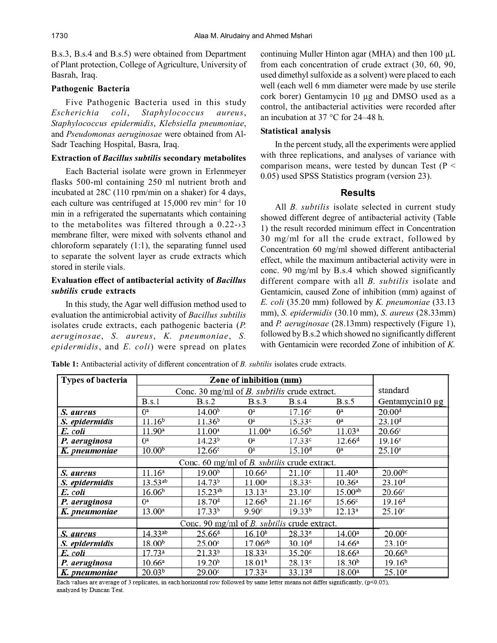B.s.3, B.s.4 and B.s.5) were obtained from Department of Plant protection, College of Agriculture, University of Basrah, Iraq.

#### **Pathogenic Bacteria**

Five Pathogenic Bacteria used in this study *Escherichia coli*, *Staphylococcus aureus*, *Staphylococcus epidermidis*, *Klebsiella pneumoniae*, and *Pseudomonas aeruginosae* were obtained from Al-Sadr Teaching Hospital, Basra, Iraq.

## **Extraction of** *Bacillus subtilis* **secondary metabolites**

Each Bacterial isolate were grown in Erlenmeyer flasks 500-ml containing 250 ml nutrient broth and incubated at 28C (110 rpm/min on a shaker) for 4 days, each culture was centrifuged at 15,000 rev min<sup>-1</sup> for 10 min in a refrigerated the supernatants which containing to the metabolites was filtered through a  $0.22 \rightarrow 3$ membrane filter, were mixed with solvents ethanol and chloroform separately (1:1), the separating funnel used to separate the solvent layer as crude extracts which stored in sterile vials.

# **Evaluation effect of antibacterial activity of** *Bacillus subtilis* **crude extracts**

In this study, the Agar well diffusion method used to evaluation the antimicrobial activity of *Bacillus subtilis* isolates crude extracts, each pathogenic bacteria (*P. aeruginosae*, *S. aureus*, *K. pneumoniae*, *S. epidermidis*, and *E. coli*) were spread on plates continuing Muller Hinton agar (MHA) and then 100 µL from each concentration of crude extract (30, 60, 90, used dimethyl sulfoxide as a solvent) were placed to each well (each well 6 mm diameter were made by use sterile cork borer) Gentamycin 10 µg and DMSO used as a control, the antibacterial activities were recorded after an incubation at 37 °C for 24–48 h.

#### **Statistical analysis**

In the percent study, all the experiments were applied with three replications, and analyses of variance with comparison means, were tested by duncan Test ( $P \le$ 0.05) used SPSS Statistics program (version 23).

# **Results**

All *B. subtilis* isolate selected in current study showed different degree of antibacterial activity (Table 1) the result recorded minimum effect in Concentration 30 mg/ml for all the crude extract, followed by Concentration 60 mg/ml showed different antibacterial effect, while the maximum antibacterial activity were in conc. 90 mg/ml by B.s.4 which showed significantly different compare with all *B. subtilis* isolate and Gentamicin, caused Zone of inhibition (mm) against of *E. coli* (35.20 mm) followed by *K. pneumoniae* (33.13 mm), *S. epidermidis* (30.10 mm), *S. aureus* (28.33mm) and *P. aeruginosae* (28.13mm) respectively (Figure 1), followed by B.s.2 which showed no significantly different with Gentamicin were recorded Zone of inhibition of *K.*

| Types of bacteria | Zone of inhibition (mm)                                |                    |                    |                    |                    |                    |
|-------------------|--------------------------------------------------------|--------------------|--------------------|--------------------|--------------------|--------------------|
|                   | Conc. 30 mg/ml of $B$ . <i>subtilis</i> crude extract. |                    |                    |                    |                    | standard           |
|                   | B.s.1                                                  | B.s.2              | B.s.3              | B.s.4              | B.s.5              | Gentamycin10 µg    |
| S. aureus         | $0^a$                                                  | 14.00 <sup>b</sup> | $^{0a}$            | 17.16c             | $0^a$              | 20.00 <sup>d</sup> |
| S. epidermidis    | 11.16 <sup>b</sup>                                     | 11.36 <sup>b</sup> | $0^{\rm a}$        | 15.33c             | 0ª                 | $23.10^{d}$        |
| E. coli           | 11.90 <sup>a</sup>                                     | $11.00^a$          | 11.00 <sup>a</sup> | 16.56 <sup>b</sup> | 11.03 <sup>a</sup> | 20.66c             |
| P. aeruginosa     | $0^a$                                                  | 14.23 <sup>b</sup> | $0^a$              | 17.33c             | 12.66 <sup>d</sup> | $19.16^e$          |
| K. pneumoniae     | 10.00 <sup>b</sup>                                     | 12.66c             | $0^{\rm a}$        | 15.10 <sup>d</sup> | $0^{\rm a}$        | $25.10^e$          |
|                   | Conc. 60 mg/ml of B. subtilis crude extract.           |                    |                    |                    |                    |                    |
| S. aureus         | 11.16 <sup>a</sup>                                     | $19.00^{b}$        | $10.66^{\rm a}$    | 21.10 <sup>c</sup> | $11.40^a$          | $20.00^{bc}$       |
| S. epidermidis    | $13.53^{ab}$                                           | $14.73^{b}$        | $11.00^a$          | 18.33c             | 10.36 <sup>a</sup> | 23.10 <sup>d</sup> |
| E. coli           | 16.06 <sup>b</sup>                                     | $15.23^{ab}$       | 13.13 <sup>a</sup> | 23.10 <sup>c</sup> | $15.00^{ab}$       | 20.66c             |
| P. aeruginosa     | $0^a$                                                  | 18.70 <sup>d</sup> | 12.66 <sup>b</sup> | $21.16^e$          | 15.66 <sup>c</sup> | 19.16 <sup>d</sup> |
| K. pneumoniae     | 13.00 <sup>a</sup>                                     | 17.33 <sup>b</sup> | 9.90 <sup>c</sup>  | $19.33^{b}$        | 12.13 <sup>a</sup> | 25.10 <sup>c</sup> |
|                   | Conc. 90 mg/ml of B. subtilis crude extract.           |                    |                    |                    |                    |                    |
| S. aureus         | $14.33^{ab}$                                           | 25.66 <sup>d</sup> | $16.10^{b}$        | 28.33e             | 14.00 <sup>a</sup> | 20.00c             |
| S. epidermidis    | 18.00 <sup>b</sup>                                     | 25.00c             | $17.06^{ab}$       | $30.10^{d}$        | 14.66a             | 23.10 <sup>c</sup> |
| E. coli           | 17.73a                                                 | $21.33^{b}$        | $18.33^{a}$        | 35.20 <sup>c</sup> | 18.66a             | 20.66 <sup>b</sup> |
| P. aeruginosa     | 10.66a                                                 | 19.20 <sup>b</sup> | 18.01 <sup>b</sup> | 28.13c             | 18.30 <sup>b</sup> | 19.16 <sup>b</sup> |
| K. pneumoniae     | $20.\overline{03^{b}}$                                 | 29.00c             | 17.33ª             | $33.13^{d}$        | 18.00 <sup>a</sup> | $25.10^e$          |

Each values are average of 3 replicates, in each horizontal row followed by same letter means not differ significantly, ( $p<0.05$ ), analyzed by Duncan Test.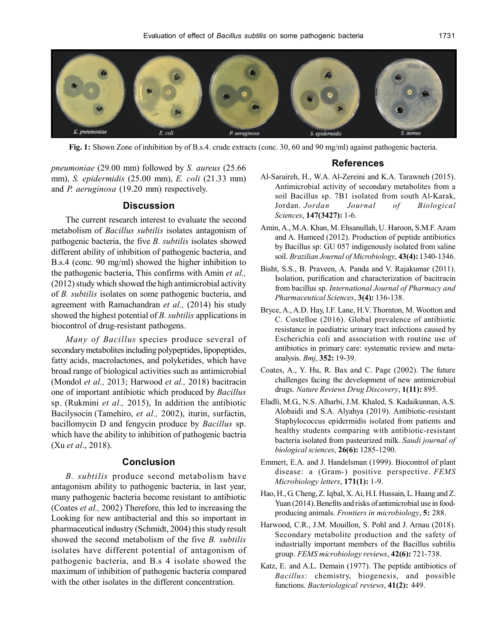

**Fig. 1:** Shown Zone of inhibition by of B.s.4. crude extracts (conc. 30, 60 and 90 mg/ml) against pathogenic bacteria.

*pneumoniae* (29.00 mm) followed by *S. aureus* (25.66 mm), *S. epidermidis* (25.00 mm), *E. coli* (21.33 mm) and *P. aeruginosa* (19.20 mm) respectively.

## **Discussion**

The current research interest to evaluate the second metabolism of *Bacillus subtilis* isolates antagonism of pathogenic bacteria, the five *B. subtilis* isolates showed different ability of inhibition of pathogenic bacteria, and B.s.4 (conc. 90 mg/ml) showed the higher inhibition to the pathogenic bacteria, This confirms with Amin *et al.,* (2012) study which showed the high antimicrobial activity of *B. subtilis* isolates on some pathogenic bacteria, and agreement with Ramachandran *et al.,* (2014) his study showed the highest potential of *B. subtilis* applications in biocontrol of drug-resistant pathogens.

*Many of Bacillus* species produce several of secondary metabolites including polypeptides, lipopeptides, fatty acids, macrolactones, and polyketides, which have broad range of biological activities such as antimicrobial (Mondol *et al.,* 2013; Harwood *et al.,* 2018) bacitracin one of important antibiotic which produced by *Bacillus* sp. (Rukmini *et al.,* 2015), In addition the antibiotic Bacilysocin (Tamehiro, *et al.,* 2002), iturin, surfactin, bacillomycin D and fengycin produce by *Bacillus* sp. which have the ability to inhibition of pathogenic bactria (Xu *et al*., 2018).

#### **Conclusion**

*B. subtilis* produce second metabolism have antagonism ability to pathogenic bacteria, in last year, many pathogenic bacteria become resistant to antibiotic (Coates *et al.,* 2002) Therefore, this led to increasing the Looking for new antibacterial and this so important in pharmaceutical industry (Schmidt, 2004) this study result showed the second metabolism of the five *B. subtilis* isolates have different potential of antagonism of pathogenic bacteria, and B.s 4 isolate showed the maximum of inhibition of pathogenic bacteria compared with the other isolates in the different concentration.

#### **References**

- Al-Saraireh, H., W.A. Al-Zereini and K.A. Tarawneh (2015). Antimicrobial activity of secondary metabolites from a soil Bacillus sp. 7B1 isolated from south Al-Karak, Jordan. *Jordan Journal of Biological Sciences*, **147(3427):** 1-6.
- Amin, A., M.A. Khan, M. Ehsanullah, U. Haroon, S.M.F. Azam and A. Hameed (2012). Production of peptide antibiotics by Bacillus sp: GU 057 indigenously isolated from saline soil. *Brazilian Journal of Microbiology*, **43(4):** 1340-1346.
- Bisht, S.S., B. Praveen, A. Panda and V. Rajakumar (2011). Isolation, purification and characterization of bacitracin from bacillus sp. *International Journal of Pharmacy and Pharmaceutical Sciences*, **3(4):** 136-138.
- Bryce, A., A.D. Hay, I.F. Lane, H.V. Thornton, M. Wootton and C. Costelloe (2016). Global prevalence of antibiotic resistance in paediatric urinary tract infections caused by Escherichia coli and association with routine use of antibiotics in primary care: systematic review and metaanalysis. *Bmj*, **352:** 19-39.
- Coates, A., Y. Hu, R. Bax and C. Page (2002). The future challenges facing the development of new antimicrobial drugs. *Nature Reviews Drug Discovery*, **1(11):** 895.
- Eladli, M.G., N.S. Alharbi, J.M. Khaled, S. Kadaikunnan, A.S. Alobaidi and S.A. Alyahya (2019). Antibiotic-resistant Staphylococcus epidermidis isolated from patients and healthy students comparing with antibiotic-resistant bacteria isolated from pasteurized milk. *Saudi journal of biological sciences*, **26(6):** 1285-1290.
- Emmert, E.A. and J. Handelsman (1999). Biocontrol of plant disease: a (Gram-) positive perspective. *FEMS Microbiology letters*, **171(1):** 1-9.
- Hao, H., G. Cheng, Z. Iqbal, X. Ai, H.I. Hussain, L. Huang and Z. Yuan (2014). Benefits and risks of antimicrobial use in foodproducing animals. *Frontiers in microbiology*, **5:** 288.
- Harwood, C.R., J.M. Mouillon, S. Pohl and J. Arnau (2018). Secondary metabolite production and the safety of industrially important members of the Bacillus subtilis group. *FEMS microbiology reviews*, **42(6):** 721-738.
- Katz, E. and A.L. Demain (1977). The peptide antibiotics of *Bacillus*: chemistry, biogenesis, and possible functions. *Bacteriological reviews*, **41(2):** 449.